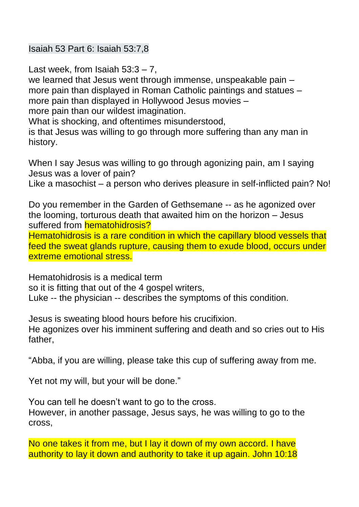Isaiah 53 Part 6: Isaiah 53:7,8

Last week, from Isaiah  $53:3 - 7$ , we learned that Jesus went through immense, unspeakable pain – more pain than displayed in Roman Catholic paintings and statues – more pain than displayed in Hollywood Jesus movies – more pain than our wildest imagination.

What is shocking, and oftentimes misunderstood,

is that Jesus was willing to go through more suffering than any man in history.

When I say Jesus was willing to go through agonizing pain, am I saying Jesus was a lover of pain?

Like a masochist – a person who derives pleasure in self-inflicted pain? No!

Do you remember in the Garden of Gethsemane -- as he agonized over the looming, torturous death that awaited him on the horizon – Jesus suffered from **hematohidrosis?** 

Hematohidrosis is a rare condition in which the capillary blood vessels that feed the sweat glands rupture, causing them to exude blood, occurs under extreme emotional stress.

Hematohidrosis is a medical term

so it is fitting that out of the 4 gospel writers,

Luke -- the physician -- describes the symptoms of this condition.

Jesus is sweating blood hours before his crucifixion.

He agonizes over his imminent suffering and death and so cries out to His father,

"Abba, if you are willing, please take this cup of suffering away from me.

Yet not my will, but your will be done."

You can tell he doesn't want to go to the cross. However, in another passage, Jesus says, he was willing to go to the cross,

No one takes it from me, but I lay it down of my own accord. I have authority to lay it down and authority to take it up again. John 10:18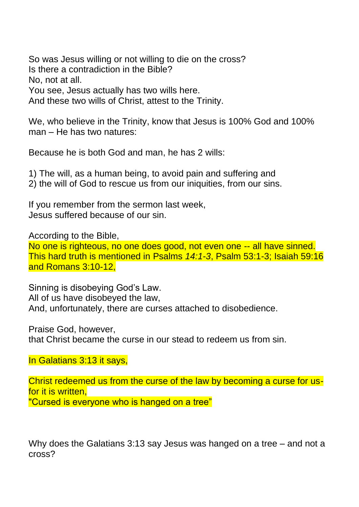So was Jesus willing or not willing to die on the cross? Is there a contradiction in the Bible? No, not at all. You see, Jesus actually has two wills here. And these two wills of Christ, attest to the Trinity.

We, who believe in the Trinity, know that Jesus is 100% God and 100% man – He has two natures:

Because he is both God and man, he has 2 wills:

1) The will, as a human being, to avoid pain and suffering and 2) the will of God to rescue us from our iniquities, from our sins.

If you remember from the sermon last week, Jesus suffered because of our sin.

According to the Bible,

No one is righteous, no one does good, not even one -- all have sinned. This hard truth is mentioned in Psalms *14:1-3*, Psalm 53:1-3; Isaiah 59:16 and Romans 3:10-12,

Sinning is disobeying God's Law. All of us have disobeyed the law, And, unfortunately, there are curses attached to disobedience.

Praise God, however, that Christ became the curse in our stead to redeem us from sin.

In Galatians 3:13 it says,

Christ redeemed us from the curse of the law by becoming a curse for usfor it is written, "Cursed is everyone who is hanged on a tree"

Why does the Galatians 3:13 say Jesus was hanged on a tree – and not a cross?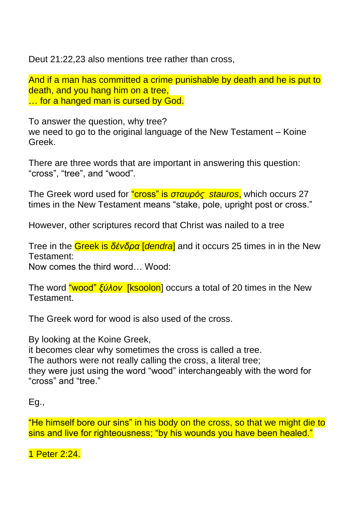Deut 21:22,23 also mentions tree rather than cross,

And if a man has committed a crime punishable by death and he is put to death, and you hang him on a tree, … for a hanged man is cursed by God.

To answer the question, why tree? we need to go to the original language of the New Testament – Koine Greek.

There are three words that are important in answering this question: "cross", "tree", and "wood".

The Greek word used for "cross" is *σταυρός stauros*, which occurs 27 times in the New Testament means "stake, pole, upright post or cross."

However, other scriptures record that Christ was nailed to a tree

Tree in the Greek is *δένδρα* [*dendra*] and it occurs 25 times in in the New Testament:

Now comes the third word… Wood:

The word "wood" *ξύλον* [ksoolon] occurs a total of 20 times in the New Testament.

The Greek word for wood is also used of the cross.

By looking at the Koine Greek,

it becomes clear why sometimes the cross is called a tree. The authors were not really calling the cross, a literal tree; they were just using the word "wood" interchangeably with the word for "cross" and "tree."

```
Eg.,
```
"He himself bore our sins" in his body on the cross, so that we might die to sins and live for righteousness; "by his wounds you have been healed."

1 Peter 2:24.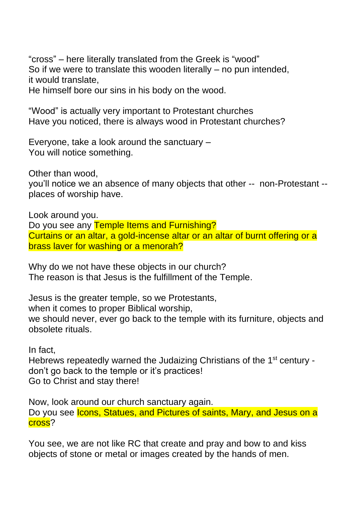"cross" – here literally translated from the Greek is "wood" So if we were to translate this wooden literally – no pun intended, it would translate,

He himself bore our sins in his body on the wood.

"Wood" is actually very important to Protestant churches Have you noticed, there is always wood in Protestant churches?

Everyone, take a look around the sanctuary – You will notice something.

Other than wood,

you'll notice we an absence of many objects that other -- non-Protestant - places of worship have.

Look around you. Do you see any Temple Items and Furnishing? Curtains or an altar, a gold-incense altar or an altar of burnt offering or a brass laver for washing or a menorah?

Why do we not have these objects in our church? The reason is that Jesus is the fulfillment of the Temple.

Jesus is the greater temple, so we Protestants, when it comes to proper Biblical worship, we should never, ever go back to the temple with its furniture, objects and obsolete rituals.

In fact,

Hebrews repeatedly warned the Judaizing Christians of the 1<sup>st</sup> century don't go back to the temple or it's practices! Go to Christ and stay there!

Now, look around our church sanctuary again. Do you see Icons, Statues, and Pictures of saints, Mary, and Jesus on a cross?

You see, we are not like RC that create and pray and bow to and kiss objects of stone or metal or images created by the hands of men.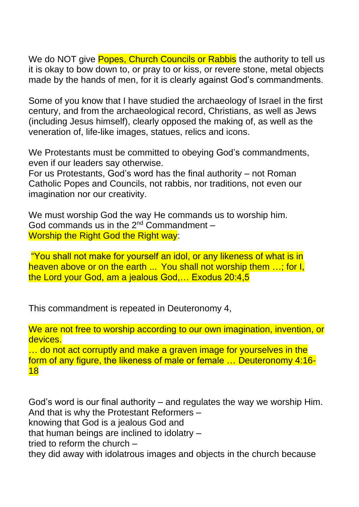We do NOT give Popes, Church Councils or Rabbis the authority to tell us it is okay to bow down to, or pray to or kiss, or revere stone, metal objects made by the hands of men, for it is clearly against God's commandments.

Some of you know that I have studied the archaeology of Israel in the first century, and from the archaeological record, Christians, as well as Jews (including Jesus himself), clearly opposed the making of, as well as the veneration of, life-like images, statues, relics and icons.

We Protestants must be committed to obeying God's commandments, even if our leaders say otherwise.

For us Protestants, God's word has the final authority – not Roman Catholic Popes and Councils, not rabbis, nor traditions, not even our imagination nor our creativity.

We must worship God the way He commands us to worship him. God commands us in the  $2^{nd}$  Commandment – Worship the Right God the Right way:

"You shall not make for yourself an idol, or any likeness of what is in heaven above or on the earth ... You shall not worship them ...; for I, the Lord your God, am a jealous God,… Exodus 20:4,5

This commandment is repeated in Deuteronomy 4,

We are not free to worship according to our own imagination, invention, or devices.

... do not act corruptly and make a graven image for yourselves in the form of any figure, the likeness of male or female … Deuteronomy 4:16- 18

God's word is our final authority – and regulates the way we worship Him. And that is why the Protestant Reformers – knowing that God is a jealous God and that human beings are inclined to idolatry – tried to reform the church – they did away with idolatrous images and objects in the church because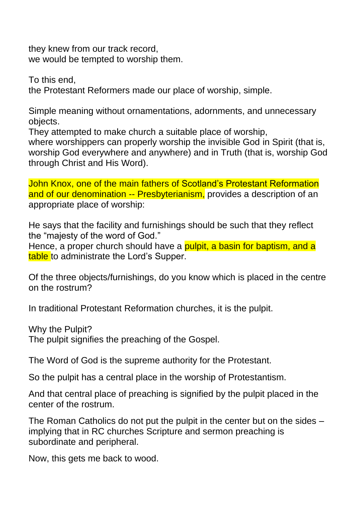they knew from our track record, we would be tempted to worship them.

To this end, the Protestant Reformers made our place of worship, simple.

Simple meaning without ornamentations, adornments, and unnecessary objects.

They attempted to make church a suitable place of worship,

where worshippers can properly worship the invisible God in Spirit (that is, worship God everywhere and anywhere) and in Truth (that is, worship God through Christ and His Word).

John Knox, one of the main fathers of Scotland's Protestant Reformation and of our denomination -- Presbyterianism, provides a description of an appropriate place of worship:

He says that the facility and furnishings should be such that they reflect the "majesty of the word of God."

Hence, a proper church should have a pulpit, a basin for baptism, and a table to administrate the Lord's Supper.

Of the three objects/furnishings, do you know which is placed in the centre on the rostrum?

In traditional Protestant Reformation churches, it is the pulpit.

Why the Pulpit?

The pulpit signifies the preaching of the Gospel.

The Word of God is the supreme authority for the Protestant.

So the pulpit has a central place in the worship of Protestantism.

And that central place of preaching is signified by the pulpit placed in the center of the rostrum.

The Roman Catholics do not put the pulpit in the center but on the sides – implying that in RC churches Scripture and sermon preaching is subordinate and peripheral.

Now, this gets me back to wood.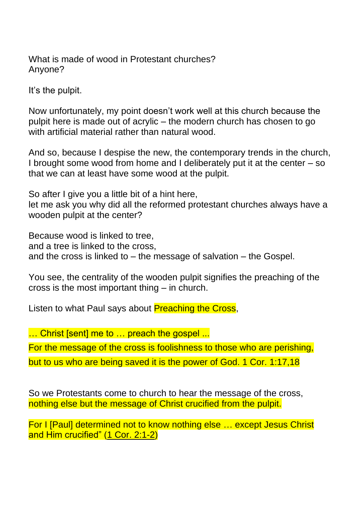What is made of wood in Protestant churches? Anyone?

It's the pulpit.

Now unfortunately, my point doesn't work well at this church because the pulpit here is made out of acrylic – the modern church has chosen to go with artificial material rather than natural wood.

And so, because I despise the new, the contemporary trends in the church, I brought some wood from home and I deliberately put it at the center – so that we can at least have some wood at the pulpit.

So after I give you a little bit of a hint here,

let me ask you why did all the reformed protestant churches always have a wooden pulpit at the center?

Because wood is linked to tree,

and a tree is linked to the cross,

and the cross is linked to – the message of salvation – the Gospel.

You see, the centrality of the wooden pulpit signifies the preaching of the cross is the most important thing – in church.

Listen to what Paul says about **Preaching the Cross**,

... Christ [sent] me to ... preach the gospel ...

For the message of the cross is foolishness to those who are perishing,

but to us who are being saved it is the power of God. 1 Cor. 1:17,18

So we Protestants come to church to hear the message of the cross, nothing else but the message of Christ crucified from the pulpit.

For I [Paul] determined not to know nothing else … except Jesus Christ and Him crucified" (1 Cor. [2:1-2\)](http://biblia.com/bible/esv/1%20Cor.%202.1-2)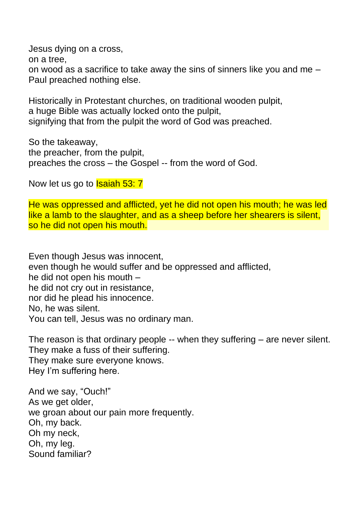Jesus dying on a cross,

on a tree,

on wood as a sacrifice to take away the sins of sinners like you and me – Paul preached nothing else.

Historically in Protestant churches, on traditional wooden pulpit, a huge Bible was actually locked onto the pulpit, signifying that from the pulpit the word of God was preached.

So the takeaway, the preacher, from the pulpit, preaches the cross – the Gospel -- from the word of God.

Now let us go to **Isaiah 53: 7** 

He was oppressed and afflicted, yet he did not open his mouth; he was led like a lamb to the slaughter, and as a sheep before her shearers is silent, so he did not open his mouth.

Even though Jesus was innocent, even though he would suffer and be oppressed and afflicted, he did not open his mouth – he did not cry out in resistance, nor did he plead his innocence. No, he was silent. You can tell, Jesus was no ordinary man.

The reason is that ordinary people -- when they suffering – are never silent. They make a fuss of their suffering. They make sure everyone knows. Hey I'm suffering here.

And we say, "Ouch!" As we get older, we groan about our pain more frequently. Oh, my back. Oh my neck, Oh, my leg. Sound familiar?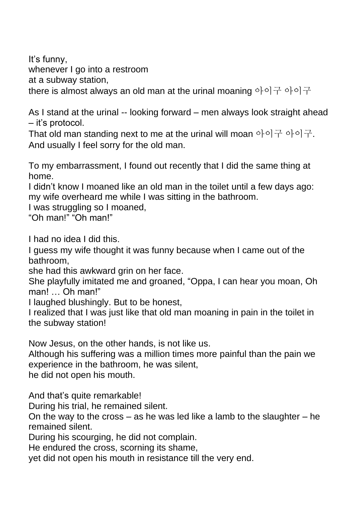It's funny, whenever I go into a restroom at a subway station, there is almost always an old man at the urinal moaning 아이구 아이구

As I stand at the urinal -- looking forward – men always look straight ahead – it's protocol.

That old man standing next to me at the urinal will moan 아이구 아이구. And usually I feel sorry for the old man.

To my embarrassment, I found out recently that I did the same thing at home.

I didn't know I moaned like an old man in the toilet until a few days ago: my wife overheard me while I was sitting in the bathroom.

I was struggling so I moaned,

"Oh man!" "Oh man!"

I had no idea I did this.

I guess my wife thought it was funny because when I came out of the bathroom,

she had this awkward grin on her face.

She playfully imitated me and groaned, "Oppa, I can hear you moan, Oh man! … Oh man!"

I laughed blushingly. But to be honest,

I realized that I was just like that old man moaning in pain in the toilet in the subway station!

Now Jesus, on the other hands, is not like us.

Although his suffering was a million times more painful than the pain we experience in the bathroom, he was silent,

he did not open his mouth.

And that's quite remarkable!

During his trial, he remained silent.

On the way to the cross – as he was led like a lamb to the slaughter – he remained silent.

During his scourging, he did not complain.

He endured the cross, scorning its shame,

yet did not open his mouth in resistance till the very end.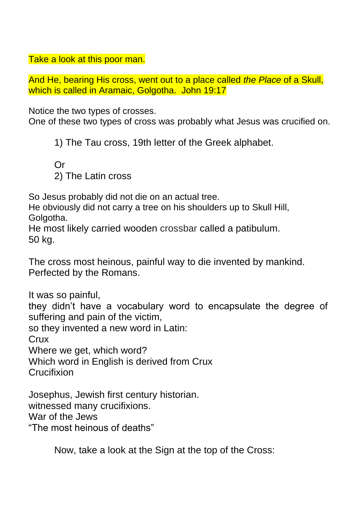Take a look at this poor man.

And He, bearing His cross, went out to a place called *the Place* of a Skull, which is called in Aramaic, Golgotha. John 19:17

Notice the two types of crosses.

One of these two types of cross was probably what Jesus was crucified on.

1) The Tau cross, 19th letter of the Greek alphabet.

Or 2) The Latin cross

So Jesus probably did not die on an actual tree.

He obviously did not carry a tree on his shoulders up to Skull Hill, Golgotha.

He most likely carried wooden crossbar called a patibulum. 50 kg.

The cross most heinous, painful way to die invented by mankind. Perfected by the Romans.

It was so painful, they didn't have a vocabulary word to encapsulate the degree of suffering and pain of the victim, so they invented a new word in Latin: **Crux** Where we get, which word? Which word in English is derived from Crux **Crucifixion** 

Josephus, Jewish first century historian. witnessed many crucifixions. War of the Jews "The most heinous of deaths"

Now, take a look at the Sign at the top of the Cross: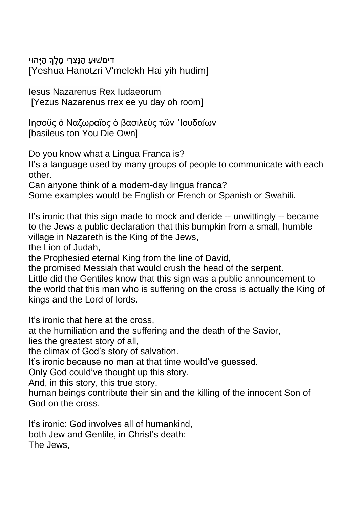דיםשׁוּעַ הַנָּצְרִי מֶלֶךְ הַיְּהוּי [Yeshua Hanotzri V'melekh Hai yih hudim]

Iesus Nazarenus Rex Iudaeorum [Yezus Nazarenus rrex ee yu day oh room]

Ιησοῦς ὁ Ναζωραῖος ὁ βασιλεὺς τῶν ᾽Ιουδαίων [basileus ton You Die Own]

Do you know what a Lingua Franca is?

It's a language used by many groups of people to communicate with each other.

Can anyone think of a modern-day lingua franca?

Some examples would be English or French or Spanish or Swahili.

It's ironic that this sign made to mock and deride -- unwittingly -- became to the Jews a public declaration that this bumpkin from a small, humble village in Nazareth is the King of the Jews,

the Lion of Judah,

the Prophesied eternal King from the line of David,

the promised Messiah that would crush the head of the serpent.

Little did the Gentiles know that this sign was a public announcement to the world that this man who is suffering on the cross is actually the King of kings and the Lord of lords.

It's ironic that here at the cross,

at the humiliation and the suffering and the death of the Savior,

lies the greatest story of all,

the climax of God's story of salvation.

It's ironic because no man at that time would've guessed.

Only God could've thought up this story.

And, in this story, this true story,

human beings contribute their sin and the killing of the innocent Son of God on the cross.

It's ironic: God involves all of humankind, both Jew and Gentile, in Christ's death: The Jews,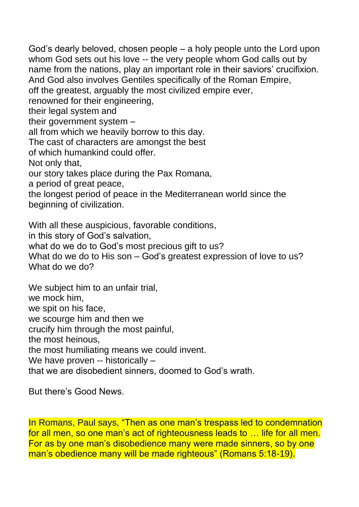God's dearly beloved, chosen people – a holy people unto the Lord upon whom God sets out his love -- the very people whom God calls out by name from the nations, play an important role in their saviors' crucifixion. And God also involves Gentiles specifically of the Roman Empire, off the greatest, arguably the most civilized empire ever, renowned for their engineering, their legal system and their government system – all from which we heavily borrow to this day. The cast of characters are amongst the best of which humankind could offer. Not only that, our story takes place during the Pax Romana, a period of great peace, the longest period of peace in the Mediterranean world since the beginning of civilization. With all these auspicious, favorable conditions, in this story of God's salvation, what do we do to God's most precious gift to us?

What do we do to His son – God's greatest expression of love to us? What do we do?

We subject him to an unfair trial, we mock him, we spit on his face, we scourge him and then we crucify him through the most painful, the most heinous, the most humiliating means we could invent. We have proven -- historically that we are disobedient sinners, doomed to God's wrath.

But there's Good News.

In Romans, Paul says, "Then as one man's trespass led to condemnation for all men, so one man's act of righteousness leads to … life for all men. For as by one man's disobedience many were made sinners, so by one man's obedience many will be made righteous" (Romans 5:18-19).